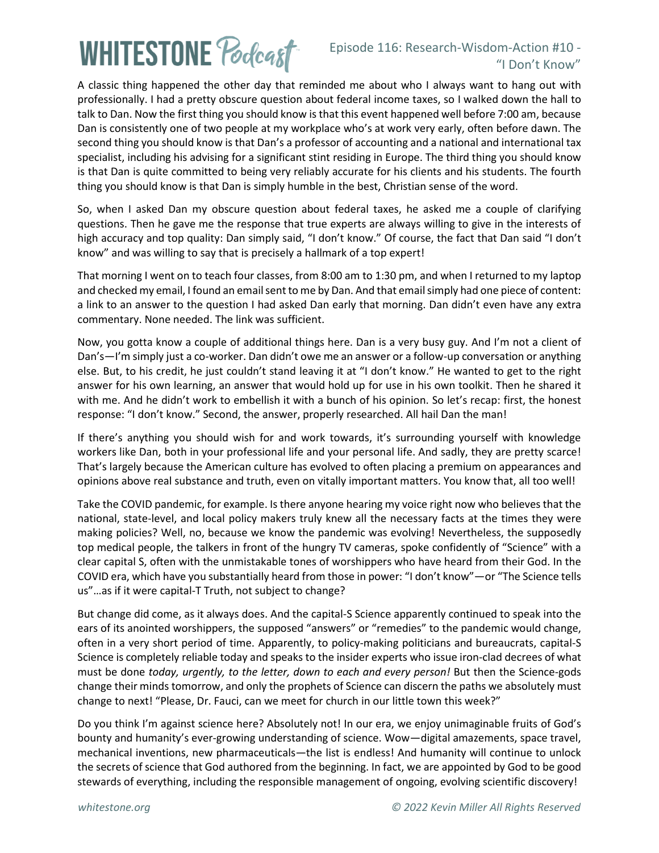# **WHITESTONE Poclcast**

### Episode 116: Research-Wisdom-Action #10 - "I Don't Know"

A classic thing happened the other day that reminded me about who I always want to hang out with professionally. I had a pretty obscure question about federal income taxes, so I walked down the hall to talk to Dan. Now the first thing you should know is that this event happened well before 7:00 am, because Dan is consistently one of two people at my workplace who's at work very early, often before dawn. The second thing you should know is that Dan's a professor of accounting and a national and international tax specialist, including his advising for a significant stint residing in Europe. The third thing you should know is that Dan is quite committed to being very reliably accurate for his clients and his students. The fourth thing you should know is that Dan is simply humble in the best, Christian sense of the word.

So, when I asked Dan my obscure question about federal taxes, he asked me a couple of clarifying questions. Then he gave me the response that true experts are always willing to give in the interests of high accuracy and top quality: Dan simply said, "I don't know." Of course, the fact that Dan said "I don't know" and was willing to say that is precisely a hallmark of a top expert!

That morning I went on to teach four classes, from 8:00 am to 1:30 pm, and when I returned to my laptop and checked my email, I found an email sent to me by Dan. And that email simply had one piece of content: a link to an answer to the question I had asked Dan early that morning. Dan didn't even have any extra commentary. None needed. The link was sufficient.

Now, you gotta know a couple of additional things here. Dan is a very busy guy. And I'm not a client of Dan's—I'm simply just a co-worker. Dan didn't owe me an answer or a follow-up conversation or anything else. But, to his credit, he just couldn't stand leaving it at "I don't know." He wanted to get to the right answer for his own learning, an answer that would hold up for use in his own toolkit. Then he shared it with me. And he didn't work to embellish it with a bunch of his opinion. So let's recap: first, the honest response: "I don't know." Second, the answer, properly researched. All hail Dan the man!

If there's anything you should wish for and work towards, it's surrounding yourself with knowledge workers like Dan, both in your professional life and your personal life. And sadly, they are pretty scarce! That's largely because the American culture has evolved to often placing a premium on appearances and opinions above real substance and truth, even on vitally important matters. You know that, all too well!

Take the COVID pandemic, for example. Is there anyone hearing my voice right now who believes that the national, state-level, and local policy makers truly knew all the necessary facts at the times they were making policies? Well, no, because we know the pandemic was evolving! Nevertheless, the supposedly top medical people, the talkers in front of the hungry TV cameras, spoke confidently of "Science" with a clear capital S, often with the unmistakable tones of worshippers who have heard from their God. In the COVID era, which have you substantially heard from those in power: "I don't know"—or "The Science tells us"…as if it were capital-T Truth, not subject to change?

But change did come, as it always does. And the capital-S Science apparently continued to speak into the ears of its anointed worshippers, the supposed "answers" or "remedies" to the pandemic would change, often in a very short period of time. Apparently, to policy-making politicians and bureaucrats, capital-S Science is completely reliable today and speaks to the insider experts who issue iron-clad decrees of what must be done *today, urgently, to the letter, down to each and every person!* But then the Science-gods change their minds tomorrow, and only the prophets of Science can discern the paths we absolutely must change to next! "Please, Dr. Fauci, can we meet for church in our little town this week?"

Do you think I'm against science here? Absolutely not! In our era, we enjoy unimaginable fruits of God's bounty and humanity's ever-growing understanding of science. Wow—digital amazements, space travel, mechanical inventions, new pharmaceuticals—the list is endless! And humanity will continue to unlock the secrets of science that God authored from the beginning. In fact, we are appointed by God to be good stewards of everything, including the responsible management of ongoing, evolving scientific discovery!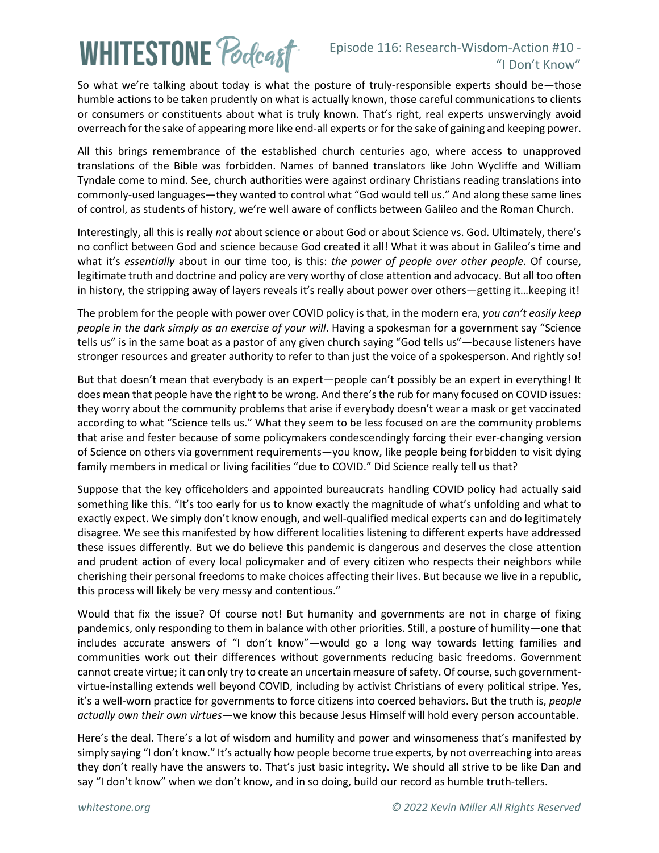# **WHITESTONE Poclcast**

#### Episode 116: Research-Wisdom-Action #10 - "I Don't Know"

So what we're talking about today is what the posture of truly-responsible experts should be—those humble actions to be taken prudently on what is actually known, those careful communications to clients or consumers or constituents about what is truly known. That's right, real experts unswervingly avoid overreach for the sake of appearing more like end-all experts or forthe sake of gaining and keeping power.

All this brings remembrance of the established church centuries ago, where access to unapproved translations of the Bible was forbidden. Names of banned translators like John Wycliffe and William Tyndale come to mind. See, church authorities were against ordinary Christians reading translations into commonly-used languages—they wanted to control what "God would tell us." And along these same lines of control, as students of history, we're well aware of conflicts between Galileo and the Roman Church.

Interestingly, all this is really *not* about science or about God or about Science vs. God. Ultimately, there's no conflict between God and science because God created it all! What it was about in Galileo's time and what it's *essentially* about in our time too, is this: *the power of people over other people*. Of course, legitimate truth and doctrine and policy are very worthy of close attention and advocacy. But all too often in history, the stripping away of layers reveals it's really about power over others—getting it…keeping it!

The problem for the people with power over COVID policy is that, in the modern era, *you can't easily keep people in the dark simply as an exercise of your will*. Having a spokesman for a government say "Science tells us" is in the same boat as a pastor of any given church saying "God tells us"—because listeners have stronger resources and greater authority to refer to than just the voice of a spokesperson. And rightly so!

But that doesn't mean that everybody is an expert—people can't possibly be an expert in everything! It does mean that people have the right to be wrong. And there's the rub for many focused on COVID issues: they worry about the community problems that arise if everybody doesn't wear a mask or get vaccinated according to what "Science tells us." What they seem to be less focused on are the community problems that arise and fester because of some policymakers condescendingly forcing their ever-changing version of Science on others via government requirements—you know, like people being forbidden to visit dying family members in medical or living facilities "due to COVID." Did Science really tell us that?

Suppose that the key officeholders and appointed bureaucrats handling COVID policy had actually said something like this. "It's too early for us to know exactly the magnitude of what's unfolding and what to exactly expect. We simply don't know enough, and well-qualified medical experts can and do legitimately disagree. We see this manifested by how different localities listening to different experts have addressed these issues differently. But we do believe this pandemic is dangerous and deserves the close attention and prudent action of every local policymaker and of every citizen who respects their neighbors while cherishing their personal freedoms to make choices affecting their lives. But because we live in a republic, this process will likely be very messy and contentious."

Would that fix the issue? Of course not! But humanity and governments are not in charge of fixing pandemics, only responding to them in balance with other priorities. Still, a posture of humility—one that includes accurate answers of "I don't know"—would go a long way towards letting families and communities work out their differences without governments reducing basic freedoms. Government cannot create virtue; it can only try to create an uncertain measure of safety. Of course, such governmentvirtue-installing extends well beyond COVID, including by activist Christians of every political stripe. Yes, it's a well-worn practice for governments to force citizens into coerced behaviors. But the truth is, *people actually own their own virtues*—we know this because Jesus Himself will hold every person accountable.

Here's the deal. There's a lot of wisdom and humility and power and winsomeness that's manifested by simply saying "I don't know." It's actually how people become true experts, by not overreaching into areas they don't really have the answers to. That's just basic integrity. We should all strive to be like Dan and say "I don't know" when we don't know, and in so doing, build our record as humble truth-tellers.